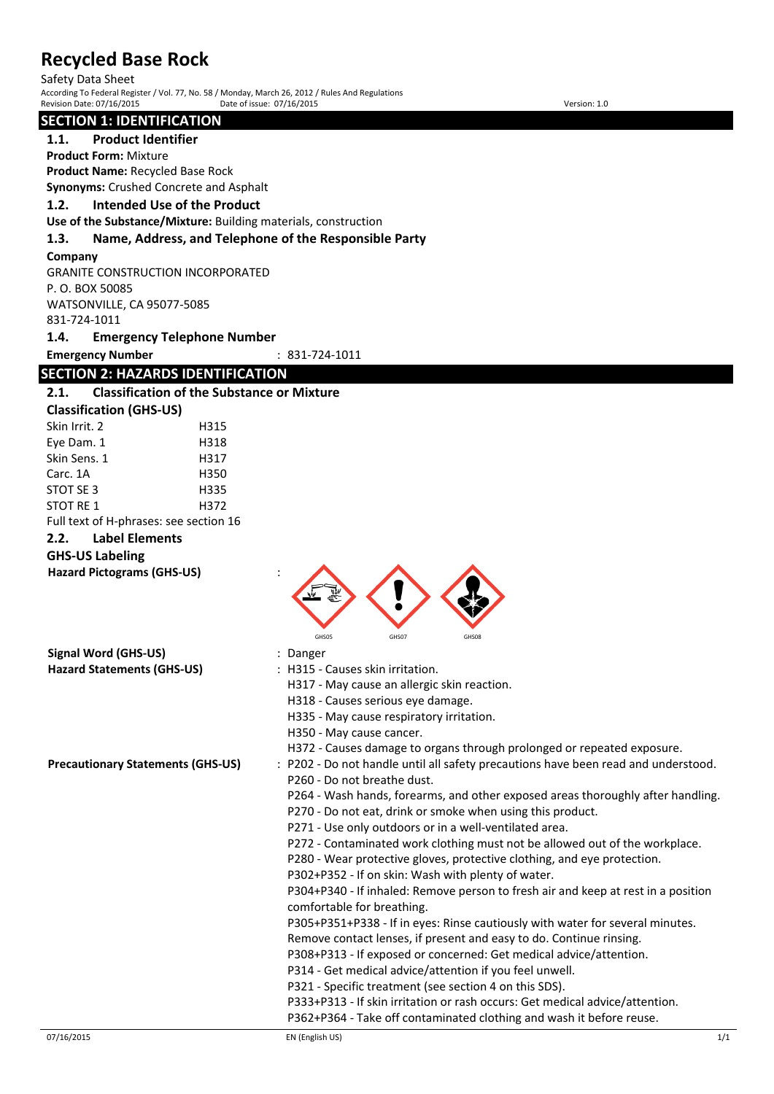Safety Data Sheet

According To Federal Register / Vol. 77, No. 58 / Monday, March 26, 2012 / Rules And Regulations Revision Date: 07/16/2015 Date of issue: 07/16/2015 Version: 1.0

# **SECTION 1: IDENTIFICATION**

**1.1. Product Identifier**

**Product Form:** Mixture

**Product Name:** Recycled Base Rock

**Synonyms:** Crushed Concrete and Asphalt

## **1.2. Intended Use of the Product**

**Use of the Substance/Mixture:** Building materials, construction

#### **1.3. Name, Address, and Telephone of the Responsible Party**

#### **Company**

GRANITE CONSTRUCTION INCORPORATED P. O. BOX 50085 WATSONVILLE, CA 95077-5085 831-724-1011

#### **1.4. Emergency Telephone Number**

**Emergency Number** : 831-724-1011

# **SECTION 2: HAZARDS IDENTIFICATION**

## **2.1. Classification of the Substance or Mixture**

| <b>Classification (GHS-US)</b> |                                        |      |  |
|--------------------------------|----------------------------------------|------|--|
| Skin Irrit. 2                  |                                        | H315 |  |
| Eye Dam. 1                     |                                        | H318 |  |
| Skin Sens. 1                   |                                        | H317 |  |
| Carc. 1A                       |                                        | H350 |  |
| STOT SE 3                      |                                        | H335 |  |
| STOT RE 1                      |                                        | H372 |  |
|                                | Full text of H-phrases: see section 16 |      |  |
| 2.2.                           | <b>Label Elements</b>                  |      |  |

## **GHS-US Labeling**

**Hazard Pictograms (GHS-US)** :

| Signal Word (GHS-US)              | : Danger                                      |
|-----------------------------------|-----------------------------------------------|
| <b>Hazard Statements (GHS-US)</b> | : H315 - Causes skin irritation.              |
|                                   | H317 - May cause an allergic skin reaction.   |
|                                   | H318 - Causes serious eye damage.             |
|                                   | $11225$ $M_{av}$ cause respiratory insitation |

- 
- GHS05 GHS07 GHS08
	- H335 May cause respiratory irritation.
	- H350 May cause cancer.
	- H372 Causes damage to organs through prolonged or repeated exposure.
- **Precautionary Statements (GHS-US)** : P202 Do not handle until all safety precautions have been read and understood. P260 - Do not breathe dust.
	- P264 Wash hands, forearms, and other exposed areas thoroughly after handling.
	- P270 Do not eat, drink or smoke when using this product.
	- P271 Use only outdoors or in a well-ventilated area.
	- P272 Contaminated work clothing must not be allowed out of the workplace.
	- P280 Wear protective gloves, protective clothing, and eye protection.
	- P302+P352 If on skin: Wash with plenty of water.

P304+P340 - If inhaled: Remove person to fresh air and keep at rest in a position comfortable for breathing.

P305+P351+P338 - If in eyes: Rinse cautiously with water for several minutes.

Remove contact lenses, if present and easy to do. Continue rinsing.

- P308+P313 If exposed or concerned: Get medical advice/attention.
- P314 Get medical advice/attention if you feel unwell.

P321 - Specific treatment (see section 4 on this SDS).

P333+P313 - If skin irritation or rash occurs: Get medical advice/attention.

P362+P364 - Take off contaminated clothing and wash it before reuse.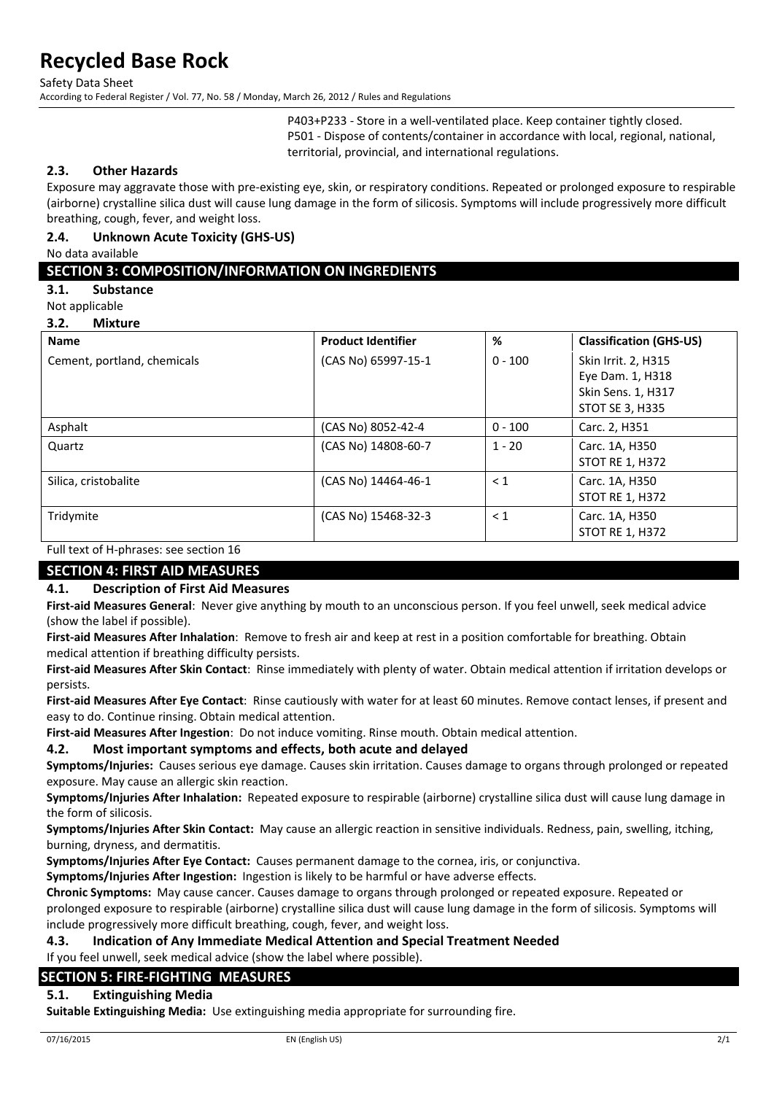Safety Data Sheet

According to Federal Register / Vol. 77, No. 58 / Monday, March 26, 2012 / Rules and Regulations

P403+P233 - Store in a well-ventilated place. Keep container tightly closed. P501 - Dispose of contents/container in accordance with local, regional, national, territorial, provincial, and international regulations.

#### **2.3. Other Hazards**

Exposure may aggravate those with pre-existing eye, skin, or respiratory conditions. Repeated or prolonged exposure to respirable (airborne) crystalline silica dust will cause lung damage in the form of silicosis. Symptoms will include progressively more difficult breathing, cough, fever, and weight loss.

#### **2.4. Unknown Acute Toxicity (GHS-US)**

No data available

## **SECTION 3: COMPOSITION/INFORMATION ON INGREDIENTS**

**3.1. Substance**

Not applicable

**3.2. Mixture**

| <b>Name</b>                 | <b>Product Identifier</b> | %         | <b>Classification (GHS-US)</b> |
|-----------------------------|---------------------------|-----------|--------------------------------|
| Cement, portland, chemicals | (CAS No) 65997-15-1       | $0 - 100$ | Skin Irrit. 2, H315            |
|                             |                           |           | Eye Dam. 1, H318               |
|                             |                           |           | Skin Sens. 1, H317             |
|                             |                           |           | <b>STOT SE 3, H335</b>         |
| Asphalt                     | (CAS No) 8052-42-4        | $0 - 100$ | Carc. 2, H351                  |
| Quartz                      | (CAS No) 14808-60-7       | $1 - 20$  | Carc. 1A, H350                 |
|                             |                           |           | <b>STOT RE 1, H372</b>         |
| Silica, cristobalite        | (CAS No) 14464-46-1       | $\leq 1$  | Carc. 1A, H350                 |
|                             |                           |           | <b>STOT RE 1, H372</b>         |
| Tridymite                   | (CAS No) 15468-32-3       | $\leq 1$  | Carc. 1A, H350                 |
|                             |                           |           | <b>STOT RE 1, H372</b>         |
| .                           |                           |           |                                |

### Full text of H-phrases: see section 16

## **SECTION 4: FIRST AID MEASURES**

#### **4.1. Description of First Aid Measures**

**First-aid Measures General**: Never give anything by mouth to an unconscious person. If you feel unwell, seek medical advice (show the label if possible).

**First-aid Measures After Inhalation**: Remove to fresh air and keep at rest in a position comfortable for breathing. Obtain medical attention if breathing difficulty persists.

**First-aid Measures After Skin Contact**: Rinse immediately with plenty of water. Obtain medical attention if irritation develops or persists.

**First-aid Measures After Eye Contact**: Rinse cautiously with water for at least 60 minutes. Remove contact lenses, if present and easy to do. Continue rinsing. Obtain medical attention.

**First-aid Measures After Ingestion**: Do not induce vomiting. Rinse mouth. Obtain medical attention.

# **4.2. Most important symptoms and effects, both acute and delayed**

**Symptoms/Injuries:** Causes serious eye damage. Causes skin irritation. Causes damage to organs through prolonged or repeated exposure. May cause an allergic skin reaction.

**Symptoms/Injuries After Inhalation:** Repeated exposure to respirable (airborne) crystalline silica dust will cause lung damage in the form of silicosis.

**Symptoms/Injuries After Skin Contact:** May cause an allergic reaction in sensitive individuals. Redness, pain, swelling, itching, burning, dryness, and dermatitis.

**Symptoms/Injuries After Eye Contact:** Causes permanent damage to the cornea, iris, or conjunctiva.

**Symptoms/Injuries After Ingestion:** Ingestion is likely to be harmful or have adverse effects.

**Chronic Symptoms:** May cause cancer. Causes damage to organs through prolonged or repeated exposure. Repeated or prolonged exposure to respirable (airborne) crystalline silica dust will cause lung damage in the form of silicosis. Symptoms will include progressively more difficult breathing, cough, fever, and weight loss.

# **4.3. Indication of Any Immediate Medical Attention and Special Treatment Needed** If you feel unwell, seek medical advice (show the label where possible).

# **SECTION 5: FIRE-FIGHTING MEASURES**

# **5.1. Extinguishing Media**

**Suitable Extinguishing Media:** Use extinguishing media appropriate for surrounding fire.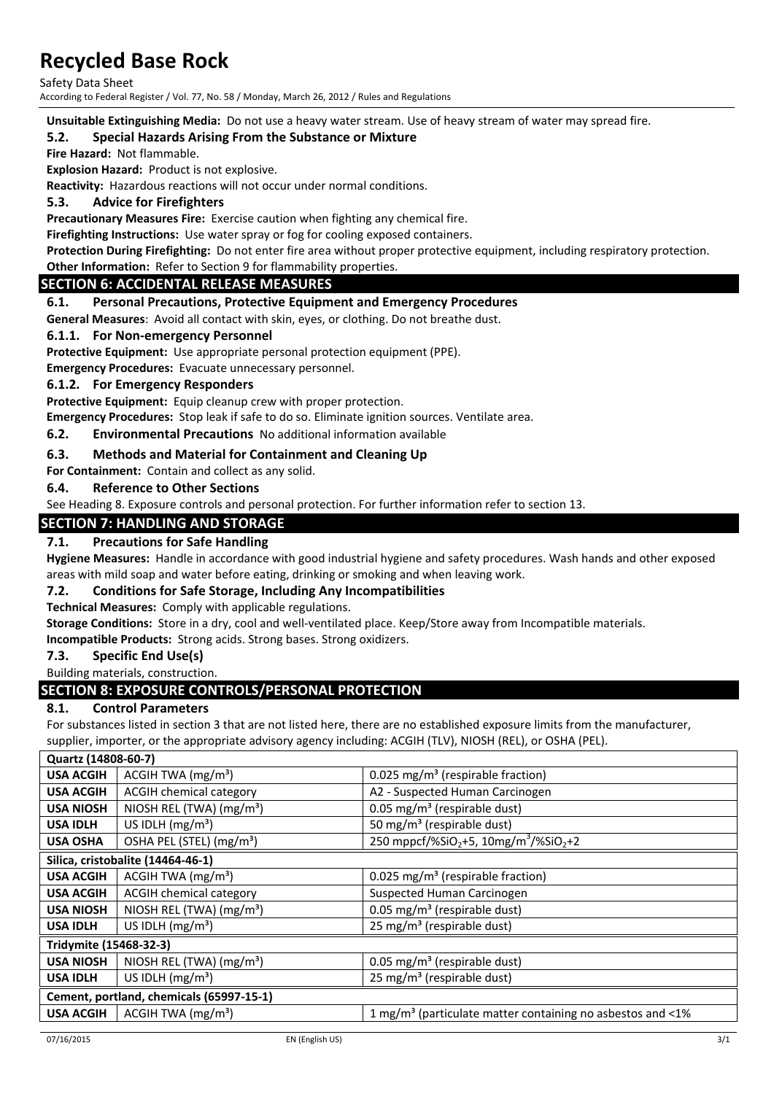Safety Data Sheet

According to Federal Register / Vol. 77, No. 58 / Monday, March 26, 2012 / Rules and Regulations

**Unsuitable Extinguishing Media:** Do not use a heavy water stream. Use of heavy stream of water may spread fire.

### **5.2. Special Hazards Arising From the Substance or Mixture**

**Fire Hazard:** Not flammable.

**Explosion Hazard:** Product is not explosive.

**Reactivity:** Hazardous reactions will not occur under normal conditions.

### **5.3. Advice for Firefighters**

**Precautionary Measures Fire:** Exercise caution when fighting any chemical fire.

**Firefighting Instructions:** Use water spray or fog for cooling exposed containers.

**Protection During Firefighting:** Do not enter fire area without proper protective equipment, including respiratory protection. **Other Information:** Refer to Section 9 for flammability properties.

#### **SECTION 6: ACCIDENTAL RELEASE MEASURES**

#### **6.1. Personal Precautions, Protective Equipment and Emergency Procedures**

**General Measures**: Avoid all contact with skin, eyes, or clothing. Do not breathe dust.

#### **6.1.1. For Non-emergency Personnel**

**Protective Equipment:** Use appropriate personal protection equipment (PPE).

**Emergency Procedures:** Evacuate unnecessary personnel.

#### **6.1.2. For Emergency Responders**

**Protective Equipment:** Equip cleanup crew with proper protection.

**Emergency Procedures:** Stop leak if safe to do so. Eliminate ignition sources. Ventilate area.

## **6.2. Environmental Precautions** No additional information available

#### **6.3. Methods and Material for Containment and Cleaning Up**

**For Containment:** Contain and collect as any solid.

#### **6.4. Reference to Other Sections**

See Heading 8. Exposure controls and personal protection. For further information refer to section 13.

#### **SECTION 7: HANDLING AND STORAGE**

#### **7.1. Precautions for Safe Handling**

**Hygiene Measures:** Handle in accordance with good industrial hygiene and safety procedures. Wash hands and other exposed areas with mild soap and water before eating, drinking or smoking and when leaving work.

#### **7.2. Conditions for Safe Storage, Including Any Incompatibilities**

**Technical Measures:** Comply with applicable regulations.

**Storage Conditions:** Store in a dry, cool and well-ventilated place. Keep/Store away from Incompatible materials.

**Incompatible Products:** Strong acids. Strong bases. Strong oxidizers.

#### **7.3. Specific End Use(s)**

Building materials, construction.

# **SECTION 8: EXPOSURE CONTROLS/PERSONAL PROTECTION**

#### **8.1. Control Parameters**

For substances listed in section 3 that are not listed here, there are no established exposure limits from the manufacturer,

supplier, importer, or the appropriate advisory agency including: ACGIH (TLV), NIOSH (REL), or OSHA (PEL).

| Quartz (14808-60-7)                      |                                      |                                                                              |  |
|------------------------------------------|--------------------------------------|------------------------------------------------------------------------------|--|
| <b>USA ACGIH</b>                         | ACGIH TWA $(mg/m3)$                  | 0.025 mg/m <sup>3</sup> (respirable fraction)                                |  |
| <b>USA ACGIH</b>                         | <b>ACGIH chemical category</b>       | A2 - Suspected Human Carcinogen                                              |  |
| <b>USA NIOSH</b>                         | NIOSH REL (TWA) (mg/m <sup>3</sup> ) | 0.05 mg/m <sup>3</sup> (respirable dust)                                     |  |
| <b>USA IDLH</b>                          | US IDLH $(mg/m3)$                    | 50 mg/m <sup>3</sup> (respirable dust)                                       |  |
| <b>USA OSHA</b>                          | OSHA PEL (STEL) (mg/m <sup>3</sup> ) | 250 mppcf/%SiO <sub>2</sub> +5, 10mg/m <sup>3</sup> /%SiO <sub>2</sub> +2    |  |
|                                          | Silica, cristobalite (14464-46-1)    |                                                                              |  |
| <b>USA ACGIH</b>                         | ACGIH TWA $(mg/m3)$                  | 0.025 mg/m <sup>3</sup> (respirable fraction)                                |  |
| <b>USA ACGIH</b>                         | <b>ACGIH chemical category</b>       | Suspected Human Carcinogen                                                   |  |
| <b>USA NIOSH</b>                         | NIOSH REL (TWA) (mg/m <sup>3</sup> ) | 0.05 mg/m <sup>3</sup> (respirable dust)                                     |  |
| <b>USA IDLH</b>                          | US IDLH (mg/m <sup>3</sup> )         | 25 mg/m <sup>3</sup> (respirable dust)                                       |  |
| Tridymite (15468-32-3)                   |                                      |                                                                              |  |
| <b>USA NIOSH</b>                         | NIOSH REL (TWA) $(mg/m3)$            | 0.05 mg/m <sup>3</sup> (respirable dust)                                     |  |
| <b>USA IDLH</b>                          | US IDLH $(mg/m3)$                    | 25 mg/m <sup>3</sup> (respirable dust)                                       |  |
| Cement, portland, chemicals (65997-15-1) |                                      |                                                                              |  |
| <b>USA ACGIH</b>                         | ACGIH TWA $(mg/m3)$                  | 1 mg/m <sup>3</sup> (particulate matter containing no asbestos and $\leq$ 1% |  |
|                                          |                                      |                                                                              |  |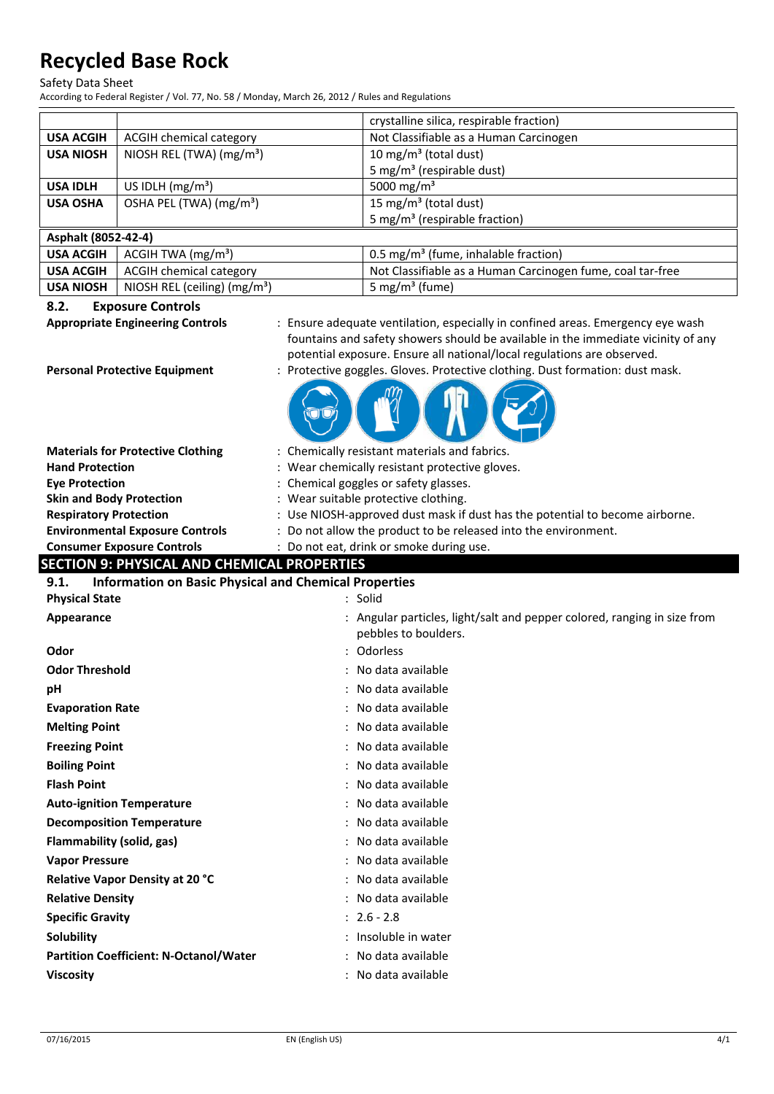Safety Data Sheet

According to Federal Register / Vol. 77, No. 58 / Monday, March 26, 2012 / Rules and Regulations

|                                                                             |                                          |                                                | crystalline silica, respirable fraction)                                          |  |
|-----------------------------------------------------------------------------|------------------------------------------|------------------------------------------------|-----------------------------------------------------------------------------------|--|
| <b>USA ACGIH</b>                                                            | ACGIH chemical category                  |                                                | Not Classifiable as a Human Carcinogen                                            |  |
| <b>USA NIOSH</b>                                                            | NIOSH REL (TWA) (mg/m <sup>3</sup> )     |                                                | 10 mg/m <sup>3</sup> (total dust)                                                 |  |
|                                                                             |                                          |                                                | 5 mg/m <sup>3</sup> (respirable dust)                                             |  |
| <b>USA IDLH</b>                                                             | US IDLH (mg/m <sup>3</sup> )             |                                                | 5000 mg/m <sup>3</sup>                                                            |  |
| <b>USA OSHA</b>                                                             | OSHA PEL (TWA) (mg/m <sup>3</sup> )      |                                                | 15 mg/m <sup>3</sup> (total dust)                                                 |  |
|                                                                             |                                          |                                                | 5 mg/m <sup>3</sup> (respirable fraction)                                         |  |
| Asphalt (8052-42-4)                                                         |                                          |                                                |                                                                                   |  |
| <b>USA ACGIH</b>                                                            | ACGIH TWA (mg/m <sup>3</sup> )           |                                                | 0.5 mg/m <sup>3</sup> (fume, inhalable fraction)                                  |  |
| <b>USA ACGIH</b>                                                            | <b>ACGIH chemical category</b>           |                                                | Not Classifiable as a Human Carcinogen fume, coal tar-free                        |  |
| <b>USA NIOSH</b>                                                            | NIOSH REL (ceiling) (mg/m <sup>3</sup> ) |                                                | 5 mg/m <sup>3</sup> (fume)                                                        |  |
| 8.2.                                                                        | <b>Exposure Controls</b>                 |                                                |                                                                                   |  |
|                                                                             | <b>Appropriate Engineering Controls</b>  |                                                | : Ensure adequate ventilation, especially in confined areas. Emergency eye wash   |  |
|                                                                             |                                          |                                                | fountains and safety showers should be available in the immediate vicinity of any |  |
|                                                                             |                                          |                                                | potential exposure. Ensure all national/local regulations are observed.           |  |
|                                                                             | <b>Personal Protective Equipment</b>     |                                                | : Protective goggles. Gloves. Protective clothing. Dust formation: dust mask.     |  |
|                                                                             |                                          |                                                |                                                                                   |  |
|                                                                             | <b>Materials for Protective Clothing</b> |                                                | : Chemically resistant materials and fabrics.                                     |  |
| <b>Hand Protection</b>                                                      |                                          | : Wear chemically resistant protective gloves. |                                                                                   |  |
| <b>Eye Protection</b>                                                       |                                          | : Chemical goggles or safety glasses.          |                                                                                   |  |
| <b>Skin and Body Protection</b>                                             |                                          |                                                | : Wear suitable protective clothing.                                              |  |
| <b>Respiratory Protection</b>                                               |                                          |                                                | : Use NIOSH-approved dust mask if dust has the potential to become airborne.      |  |
|                                                                             | <b>Environmental Exposure Controls</b>   |                                                | : Do not allow the product to be released into the environment.                   |  |
| <b>Consumer Exposure Controls</b><br>Do not eat, drink or smoke during use. |                                          |                                                |                                                                                   |  |
| <b>SECTION 9: PHYSICAL AND CHEMICAL PROPERTIES</b>                          |                                          |                                                |                                                                                   |  |
| 9.1.<br><b>Information on Basic Physical and Chemical Properties</b>        |                                          |                                                |                                                                                   |  |
| <b>Physical State</b>                                                       |                                          |                                                | : Solid                                                                           |  |
| Appearance                                                                  |                                          |                                                | : Angular particles, light/salt and pepper colored, ranging in size from          |  |
|                                                                             |                                          |                                                | pebbles to boulders.                                                              |  |
| Odor                                                                        |                                          |                                                | : Odorless                                                                        |  |
| <b>Odor Threshold</b>                                                       |                                          |                                                | : No data available                                                               |  |
|                                                                             |                                          |                                                |                                                                                   |  |

**pH** : No data available

- **Evaporation Rate** : No data available **Melting Point CONFIDENTIAL CONTRACT CONTRACT AT A SET OF A SET OF A SET OF A SET OF A SET OF A SET OF A SET OF A SET OF A SET OF A SET OF A SET OF A SET OF A SET OF A SET OF A SET OF A SET OF A SET OF A SET OF A SET OF**
- 
- **Freezing Point Contract Contract Contract Contract Contract Contract Contract Contract Contract Contract Contract Contract Contract Contract Contract Contract Contract Contract Contract Contract Contract Contract Contra**
- **Boiling Point Example 2018 1 CO EXAMPLE 2018 1 CO EXAMPLE 2018 1 CO EXAMPLE 2019 1 CO EXAMPLE 2019 1 CO EXAMPLE 2019 1 CO EXAMPLE 2019 2029 2029 2029 2029 2029 2029 2029**
- **Flash Point** : No data available
- **Auto-ignition Temperature** : No data available
- 
- **Decomposition Temperature 1988 1988 1988 1988 1988 1988 1988 1988 1988 1988 1988 1988 1988 1988 1988 1988 1988 1988 1988 1988 1988 1988 1988 1988 1988 1988 1988 1988**
- **Flammability (solid, gas)**  $\cdot$  **:** No data available
- **Vapor Pressure** : No data available
- **Relative Vapor Density at 20 °C** : No data available
- **Relative Density Contract Contract Contract Contract Contract Contract Contract Contract Contract Contract Contract Contract Contract Contract Contract Contract Contract Contract Contract Contract Contract Contract Cont Specific Gravity** : 2.6 - 2.8
- 
- **Solubility** : Insoluble in water **Partition Coefficient: N-Octanol/Water** : No data available
- 07/16/2015 EN (English US) 4/1

**Viscosity** : No data available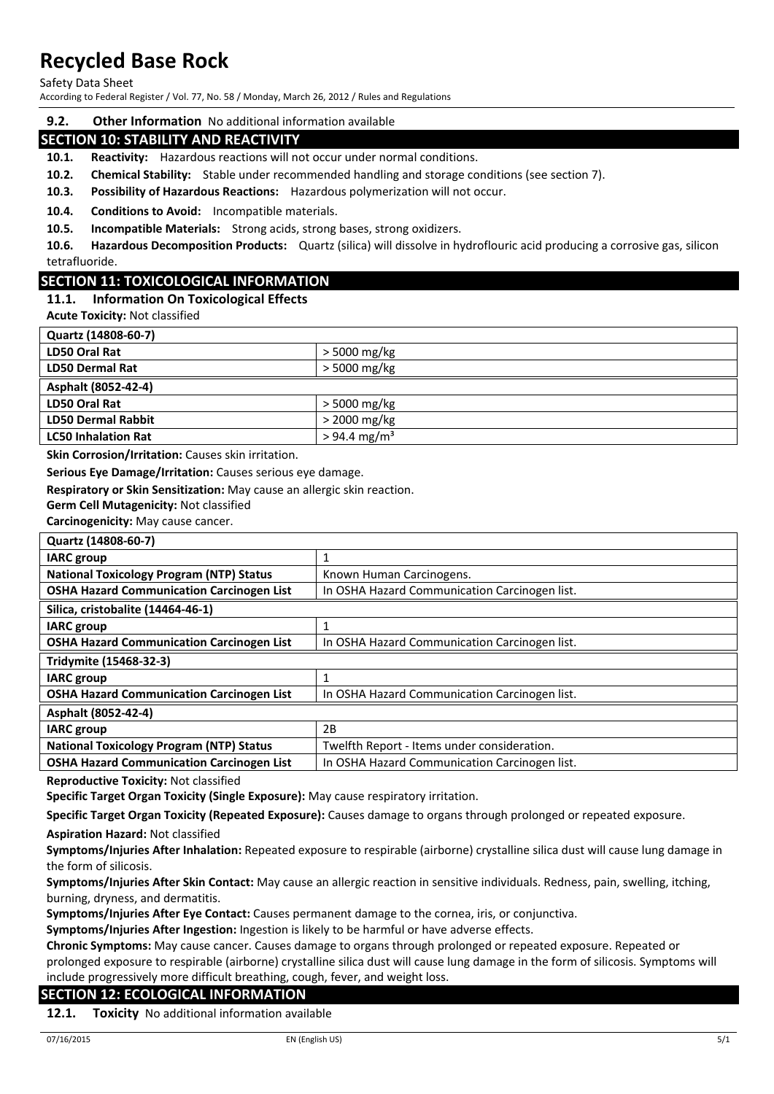Safety Data Sheet

According to Federal Register / Vol. 77, No. 58 / Monday, March 26, 2012 / Rules and Regulations

**9.2. Other Information** No additional information available

# **SECTION 10: STABILITY AND REACTIVITY**

**10.1. Reactivity:** Hazardous reactions will not occur under normal conditions.

- **10.2. Chemical Stability:** Stable under recommended handling and storage conditions (see section 7).
- **10.3. Possibility of Hazardous Reactions:** Hazardous polymerization will not occur.

**10.4. Conditions to Avoid:** Incompatible materials.

**10.5. Incompatible Materials:** Strong acids, strong bases, strong oxidizers.

**10.6. Hazardous Decomposition Products:** Quartz (silica) will dissolve in hydroflouric acid producing a corrosive gas, silicon tetrafluoride.

## **SECTION 11: TOXICOLOGICAL INFORMATION**

## **11.1. Information On Toxicological Effects**

**Acute Toxicity:** Not classified

| $>$ 5000 mg/kg             |
|----------------------------|
| > 5000 mg/kg               |
|                            |
| > 5000 mg/kg               |
| > 2000 mg/kg               |
| $> 94.4$ mg/m <sup>3</sup> |
|                            |

**Skin Corrosion/Irritation:** Causes skin irritation.

**Serious Eye Damage/Irritation:** Causes serious eye damage.

**Respiratory or Skin Sensitization:** May cause an allergic skin reaction.

**Germ Cell Mutagenicity:** Not classified

**Carcinogenicity:** May cause cancer.

**Quartz (14808-60-7)**

| Quartz (14808-00-7)                              |                                               |  |
|--------------------------------------------------|-----------------------------------------------|--|
| <b>IARC</b> group                                | 1                                             |  |
| <b>National Toxicology Program (NTP) Status</b>  | Known Human Carcinogens.                      |  |
| <b>OSHA Hazard Communication Carcinogen List</b> | In OSHA Hazard Communication Carcinogen list. |  |
| Silica, cristobalite (14464-46-1)                |                                               |  |
| <b>IARC</b> group                                | 1                                             |  |
| <b>OSHA Hazard Communication Carcinogen List</b> | In OSHA Hazard Communication Carcinogen list. |  |
| Tridymite (15468-32-3)                           |                                               |  |
| <b>IARC</b> group                                | 1                                             |  |
| <b>OSHA Hazard Communication Carcinogen List</b> | In OSHA Hazard Communication Carcinogen list. |  |
| Asphalt (8052-42-4)                              |                                               |  |
| <b>IARC</b> group                                | 2B                                            |  |
| <b>National Toxicology Program (NTP) Status</b>  | Twelfth Report - Items under consideration.   |  |
| <b>OSHA Hazard Communication Carcinogen List</b> | In OSHA Hazard Communication Carcinogen list. |  |
|                                                  |                                               |  |

**Reproductive Toxicity:** Not classified

**Specific Target Organ Toxicity (Single Exposure):** May cause respiratory irritation.

**Specific Target Organ Toxicity (Repeated Exposure):** Causes damage to organs through prolonged or repeated exposure.

**Aspiration Hazard:** Not classified

**Symptoms/Injuries After Inhalation:** Repeated exposure to respirable (airborne) crystalline silica dust will cause lung damage in the form of silicosis.

**Symptoms/Injuries After Skin Contact:** May cause an allergic reaction in sensitive individuals. Redness, pain, swelling, itching, burning, dryness, and dermatitis.

**Symptoms/Injuries After Eye Contact:** Causes permanent damage to the cornea, iris, or conjunctiva.

**Symptoms/Injuries After Ingestion:** Ingestion is likely to be harmful or have adverse effects.

**Chronic Symptoms:** May cause cancer. Causes damage to organs through prolonged or repeated exposure. Repeated or prolonged exposure to respirable (airborne) crystalline silica dust will cause lung damage in the form of silicosis. Symptoms will include progressively more difficult breathing, cough, fever, and weight loss.

## **SECTION 12: ECOLOGICAL INFORMATION**

**12.1. Toxicity** No additional information available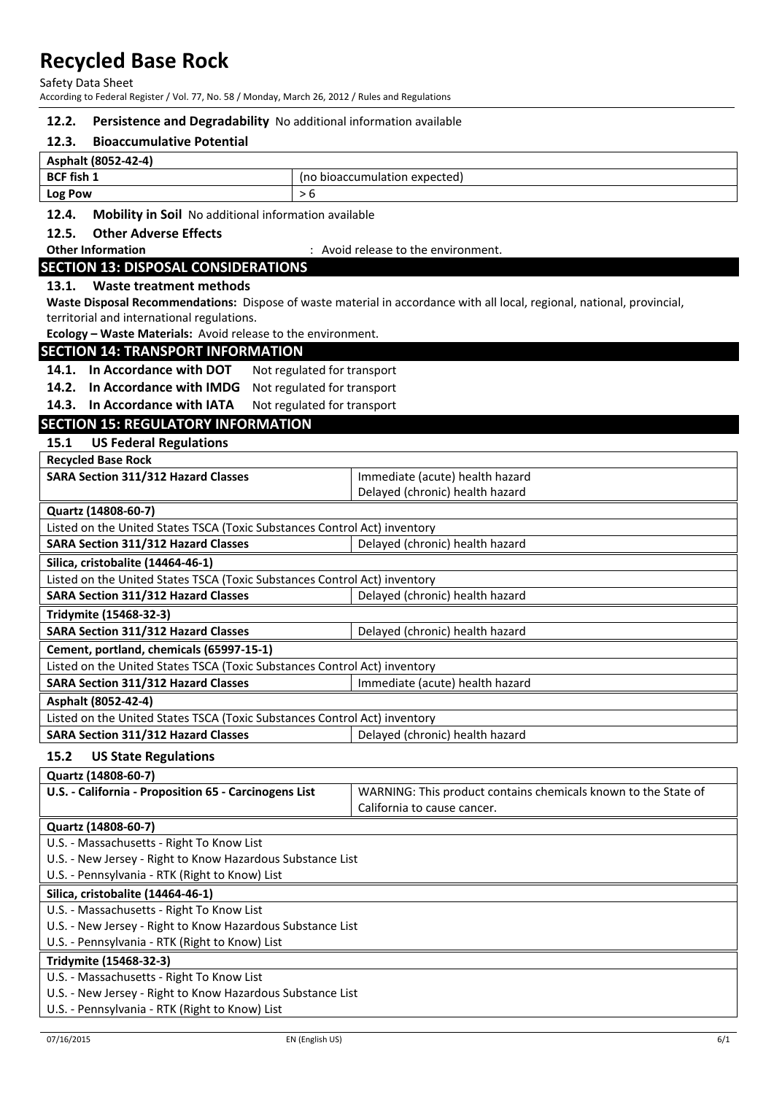Safety Data Sheet

According to Federal Register / Vol. 77, No. 58 / Monday, March 26, 2012 / Rules and Regulations

#### **12.2. Persistence and Degradability** No additional information available

#### **12.3. Bioaccumulative Potential**

| Asphalt (8052-42-4) |                               |  |
|---------------------|-------------------------------|--|
| BCF fish 1          | (no bioaccumulation expected) |  |
| <b>Log Pow</b>      |                               |  |

#### **12.4. Mobility in Soil** No additional information available

#### **12.5. Other Adverse Effects**

**Other Information COLLECT ENGLISION CONTRACT AND ACCORDING TO A LIGARY CONTRACT 2 AVOId release to the environment.** 

## **SECTION 13: DISPOSAL CONSIDERATIONS**

#### **13.1. Waste treatment methods**

**Waste Disposal Recommendations:** Dispose of waste material in accordance with all local, regional, national, provincial, territorial and international regulations.

**Ecology – Waste Materials:** Avoid release to the environment.

## **SECTION 14: TRANSPORT INFORMATION**

14.1. In Accordance with DOT Not regulated for transport

**14.2. In Accordance with IMDG** Not regulated for transport

14.3. In Accordance with IATA Not regulated for transport

# **SECTION 15: REGULATORY INFORMATION**

#### **15.1 US Federal Regulations**

| <b>Recycled Base Rock</b>                  |                                 |
|--------------------------------------------|---------------------------------|
| <b>SARA Section 311/312 Hazard Classes</b> | Immediate (acute) health hazard |
|                                            | Delayed (chronic) health hazard |
| $0.124 - 111000007$                        |                                 |

## **Quartz (14808-60-7)**

| Quartz (1900-00-7)                                                        |                                 |  |  |
|---------------------------------------------------------------------------|---------------------------------|--|--|
| Listed on the United States TSCA (Toxic Substances Control Act) inventory |                                 |  |  |
| <b>SARA Section 311/312 Hazard Classes</b>                                | Delayed (chronic) health hazard |  |  |
| Silica, cristobalite (14464-46-1)                                         |                                 |  |  |
| Listed on the United States TSCA (Toxic Substances Control Act) inventory |                                 |  |  |
| <b>SARA Section 311/312 Hazard Classes</b>                                | Delayed (chronic) health hazard |  |  |
| Tridymite (15468-32-3)                                                    |                                 |  |  |
| <b>SARA Section 311/312 Hazard Classes</b>                                | Delayed (chronic) health hazard |  |  |
| Cement, portland, chemicals (65997-15-1)                                  |                                 |  |  |
| Listed on the United States TSCA (Toxic Substances Control Act) inventory |                                 |  |  |
| <b>SARA Section 311/312 Hazard Classes</b>                                | Immediate (acute) health hazard |  |  |
| Asphalt (8052-42-4)                                                       |                                 |  |  |
| Listed on the United States TSCA (Toxic Substances Control Act) inventory |                                 |  |  |
| <b>SARA Section 311/312 Hazard Classes</b>                                | Delayed (chronic) health hazard |  |  |

## **15.2 US State Regulations**

| WARNING: This product contains chemicals known to the State of |  |  |
|----------------------------------------------------------------|--|--|
| California to cause cancer.                                    |  |  |
|                                                                |  |  |
|                                                                |  |  |
| U.S. - New Jersey - Right to Know Hazardous Substance List     |  |  |
|                                                                |  |  |
|                                                                |  |  |
|                                                                |  |  |
| U.S. - New Jersey - Right to Know Hazardous Substance List     |  |  |
|                                                                |  |  |
|                                                                |  |  |
|                                                                |  |  |
| U.S. - New Jersey - Right to Know Hazardous Substance List     |  |  |
|                                                                |  |  |

U.S. - Pennsylvania - RTK (Right to Know) List